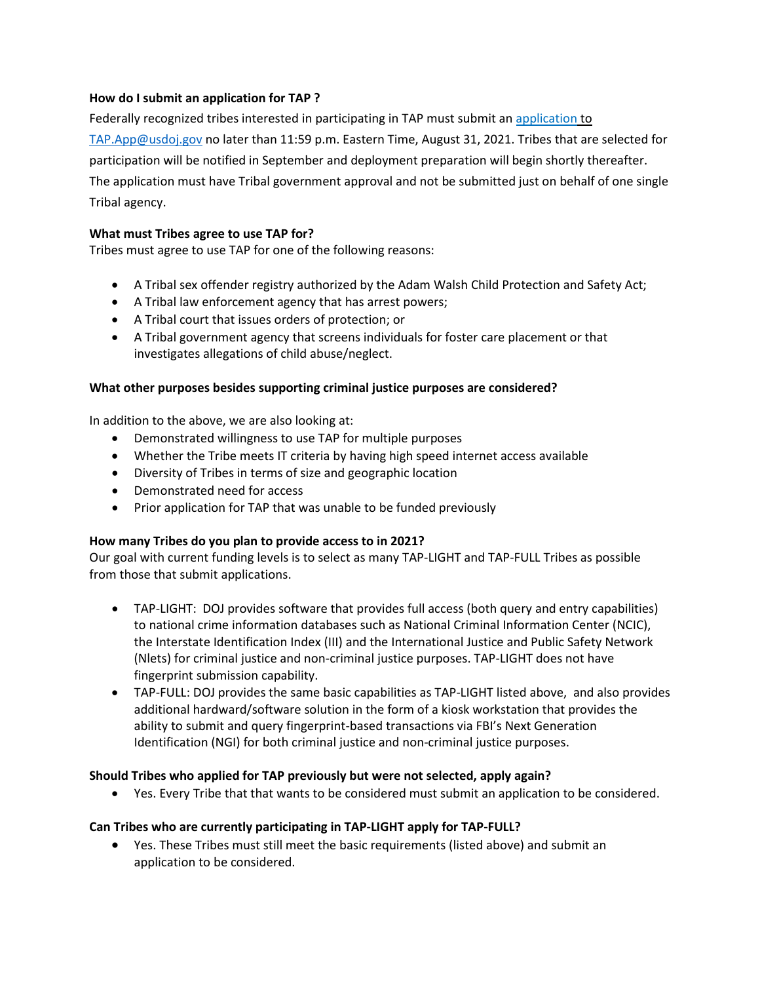### **How do I submit an application for TAP ?**

Federally recognized tribes interested in participating in TAP must submit an application to [TAP.App@usdoj.gov](mailto:TAP.App@usdoj.gov) no later than 11:59 p.m. Eastern Time, August 31, 2021. Tribes that are selected for participation will be notified in September and deployment preparation will begin shortly thereafter. The application must have Tribal government approval and not be submitted just on behalf of one single Tribal agency.

#### **What must Tribes agree to use TAP for?**

Tribes must agree to use TAP for one of the following reasons:

- A Tribal sex offender registry authorized by the Adam Walsh Child Protection and Safety Act;
- A Tribal law enforcement agency that has arrest powers;
- A Tribal court that issues orders of protection; or
- A Tribal government agency that screens individuals for foster care placement or that investigates allegations of child abuse/neglect.

### **What other purposes besides supporting criminal justice purposes are considered?**

In addition to the above, we are also looking at:

- Demonstrated willingness to use TAP for multiple purposes
- Whether the Tribe meets IT criteria by having high speed internet access available
- Diversity of Tribes in terms of size and geographic location
- Demonstrated need for access
- Prior application for TAP that was unable to be funded previously

## **How many Tribes do you plan to provide access to in 2021?**

Our goal with current funding levels is to select as many TAP-LIGHT and TAP-FULL Tribes as possible from those that submit applications.

- TAP-LIGHT: DOJ provides software that provides full access (both query and entry capabilities) to national crime information databases such as National Criminal Information Center (NCIC), the Interstate Identification Index (III) and the International Justice and Public Safety Network (Nlets) for criminal justice and non-criminal justice purposes. TAP-LIGHT does not have fingerprint submission capability.
- TAP-FULL: DOJ provides the same basic capabilities as TAP-LIGHT listed above, and also provides additional hardward/software solution in the form of a kiosk workstation that provides the ability to submit and query fingerprint-based transactions via FBI's Next Generation Identification (NGI) for both criminal justice and non-criminal justice purposes.

## **Should Tribes who applied for TAP previously but were not selected, apply again?**

• Yes. Every Tribe that that wants to be considered must submit an application to be considered.

## **Can Tribes who are currently participating in TAP-LIGHT apply for TAP-FULL?**

• Yes. These Tribes must still meet the basic requirements (listed above) and submit an application to be considered.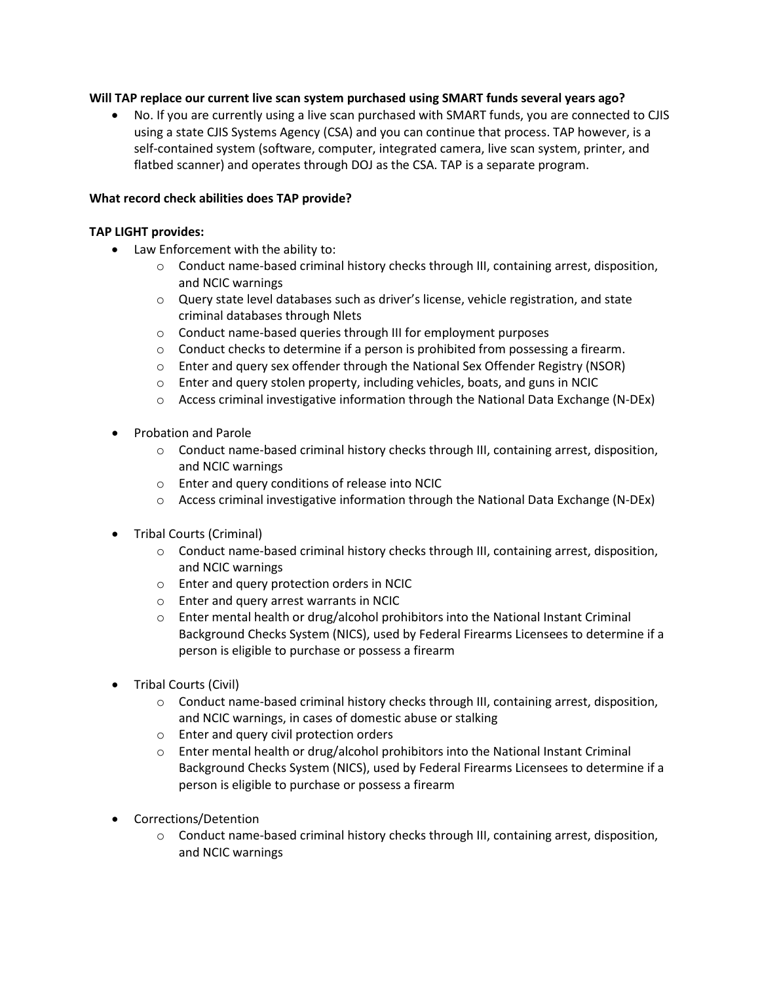#### **Will TAP replace our current live scan system purchased using SMART funds several years ago?**

• No. If you are currently using a live scan purchased with SMART funds, you are connected to CJIS using a state CJIS Systems Agency (CSA) and you can continue that process. TAP however, is a self-contained system (software, computer, integrated camera, live scan system, printer, and flatbed scanner) and operates through DOJ as the CSA. TAP is a separate program.

#### **What record check abilities does TAP provide?**

#### **TAP LIGHT provides:**

- Law Enforcement with the ability to:
	- o Conduct name-based criminal history checks through III, containing arrest, disposition, and NCIC warnings
	- o Query state level databases such as driver's license, vehicle registration, and state criminal databases through Nlets
	- o Conduct name-based queries through III for employment purposes
	- $\circ$  Conduct checks to determine if a person is prohibited from possessing a firearm.
	- $\circ$  Enter and query sex offender through the National Sex Offender Registry (NSOR)
	- o Enter and query stolen property, including vehicles, boats, and guns in NCIC
	- $\circ$  Access criminal investigative information through the National Data Exchange (N-DEx)
- Probation and Parole
	- o Conduct name-based criminal history checks through III, containing arrest, disposition, and NCIC warnings
	- o Enter and query conditions of release into NCIC
	- $\circ$  Access criminal investigative information through the National Data Exchange (N-DEx)
- Tribal Courts (Criminal)
	- $\circ$  Conduct name-based criminal history checks through III, containing arrest, disposition, and NCIC warnings
	- o Enter and query protection orders in NCIC
	- o Enter and query arrest warrants in NCIC
	- $\circ$  Enter mental health or drug/alcohol prohibitors into the National Instant Criminal Background Checks System (NICS), used by Federal Firearms Licensees to determine if a person is eligible to purchase or possess a firearm
- Tribal Courts (Civil)
	- o Conduct name-based criminal history checks through III, containing arrest, disposition, and NCIC warnings, in cases of domestic abuse or stalking
	- o Enter and query civil protection orders
	- o Enter mental health or drug/alcohol prohibitors into the National Instant Criminal Background Checks System (NICS), used by Federal Firearms Licensees to determine if a person is eligible to purchase or possess a firearm
- Corrections/Detention
	- $\circ$  Conduct name-based criminal history checks through III, containing arrest, disposition, and NCIC warnings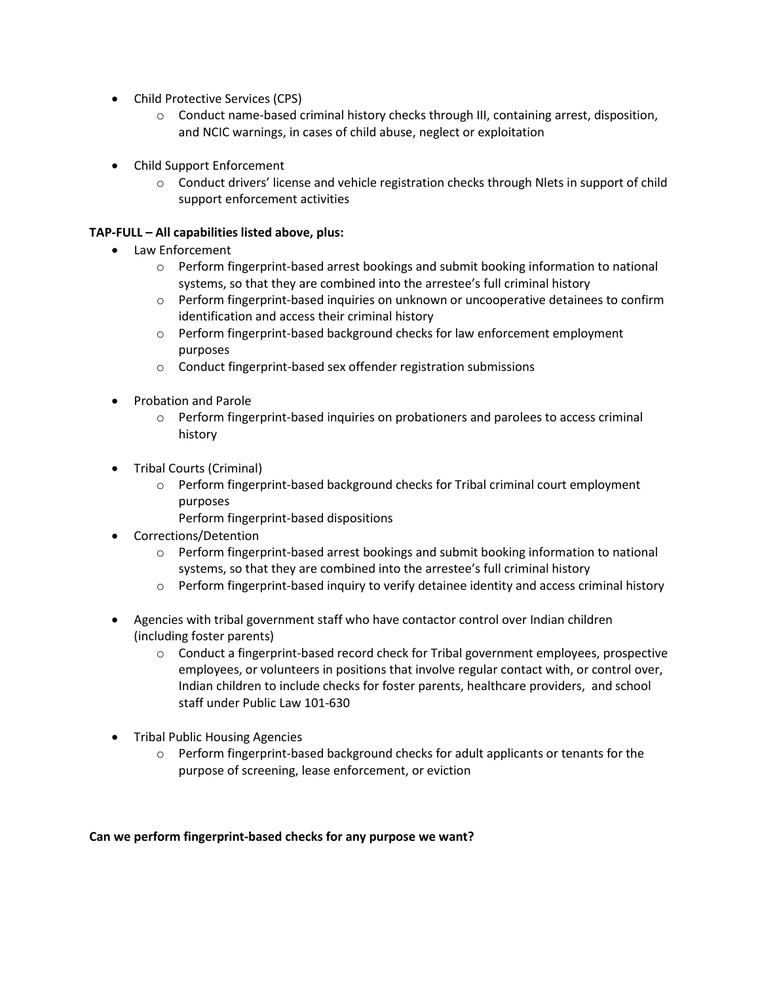- Child Protective Services (CPS)
	- o Conduct name-based criminal history checks through III, containing arrest, disposition, and NCIC warnings, in cases of child abuse, neglect or exploitation
- Child Support Enforcement
	- $\circ$  Conduct drivers' license and vehicle registration checks through Nlets in support of child support enforcement activities

## **TAP-FULL – All capabilities listed above, plus:**

- Law Enforcement
	- o Perform fingerprint-based arrest bookings and submit booking information to national systems, so that they are combined into the arrestee's full criminal history
	- o Perform fingerprint-based inquiries on unknown or uncooperative detainees to confirm identification and access their criminal history
	- o Perform fingerprint-based background checks for law enforcement employment purposes
	- o Conduct fingerprint-based sex offender registration submissions
- Probation and Parole
	- o Perform fingerprint-based inquiries on probationers and parolees to access criminal history
- Tribal Courts (Criminal)
	- $\circ$  Perform fingerprint-based background checks for Tribal criminal court employment purposes
		- Perform fingerprint-based dispositions
- Corrections/Detention
	- o Perform fingerprint-based arrest bookings and submit booking information to national systems, so that they are combined into the arrestee's full criminal history
	- o Perform fingerprint-based inquiry to verify detainee identity and access criminal history
- Agencies with tribal government staff who have contactor control over Indian children (including foster parents)
	- $\circ$  Conduct a fingerprint-based record check for Tribal government employees, prospective employees, or volunteers in positions that involve regular contact with, or control over, Indian children to include checks for foster parents, healthcare providers, and school staff under Public Law 101-630
- Tribal Public Housing Agencies
	- $\circ$  Perform fingerprint-based background checks for adult applicants or tenants for the purpose of screening, lease enforcement, or eviction

#### **Can we perform fingerprint-based checks for any purpose we want?**